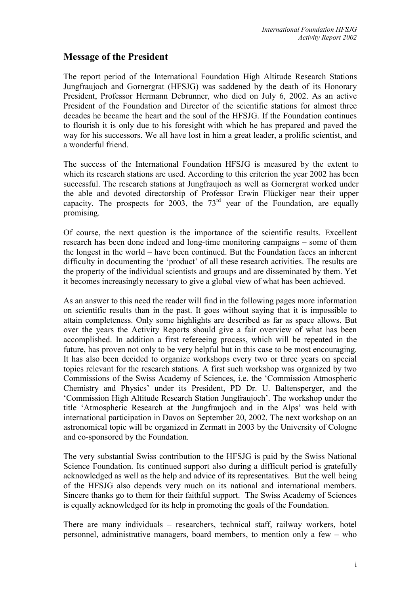## **Message of the President**

The report period of the International Foundation High Altitude Research Stations Jungfraujoch and Gornergrat (HFSJG) was saddened by the death of its Honorary President, Professor Hermann Debrunner, who died on July 6, 2002. As an active President of the Foundation and Director of the scientific stations for almost three decades he became the heart and the soul of the HFSJG. If the Foundation continues to flourish it is only due to his foresight with which he has prepared and paved the way for his successors. We all have lost in him a great leader, a prolific scientist, and a wonderful friend.

The success of the International Foundation HFSJG is measured by the extent to which its research stations are used. According to this criterion the year 2002 has been successful. The research stations at Jungfraujoch as well as Gornergrat worked under the able and devoted directorship of Professor Erwin Flückiger near their upper capacity. The prospects for  $2003$ , the  $73<sup>rd</sup>$  year of the Foundation, are equally promising.

Of course, the next question is the importance of the scientific results. Excellent research has been done indeed and long-time monitoring campaigns – some of them the longest in the world – have been continued. But the Foundation faces an inherent difficulty in documenting the 'product' of all these research activities. The results are the property of the individual scientists and groups and are disseminated by them. Yet it becomes increasingly necessary to give a global view of what has been achieved.

As an answer to this need the reader will find in the following pages more information on scientific results than in the past. It goes without saying that it is impossible to attain completeness. Only some highlights are described as far as space allows. But over the years the Activity Reports should give a fair overview of what has been accomplished. In addition a first refereeing process, which will be repeated in the future, has proven not only to be very helpful but in this case to be most encouraging. It has also been decided to organize workshops every two or three years on special topics relevant for the research stations. A first such workshop was organized by two Commissions of the Swiss Academy of Sciences, i.e. the 'Commission Atmospheric Chemistry and Physics' under its President, PD Dr. U. Baltensperger, and the 'Commission High Altitude Research Station Jungfraujoch'. The workshop under the title 'Atmospheric Research at the Jungfraujoch and in the Alps' was held with international participation in Davos on September 20, 2002. The next workshop on an astronomical topic will be organized in Zermatt in 2003 by the University of Cologne and co-sponsored by the Foundation.

The very substantial Swiss contribution to the HFSJG is paid by the Swiss National Science Foundation. Its continued support also during a difficult period is gratefully acknowledged as well as the help and advice of its representatives. But the well being of the HFSJG also depends very much on its national and international members. Sincere thanks go to them for their faithful support. The Swiss Academy of Sciences is equally acknowledged for its help in promoting the goals of the Foundation.

There are many individuals – researchers, technical staff, railway workers, hotel personnel, administrative managers, board members, to mention only a few – who